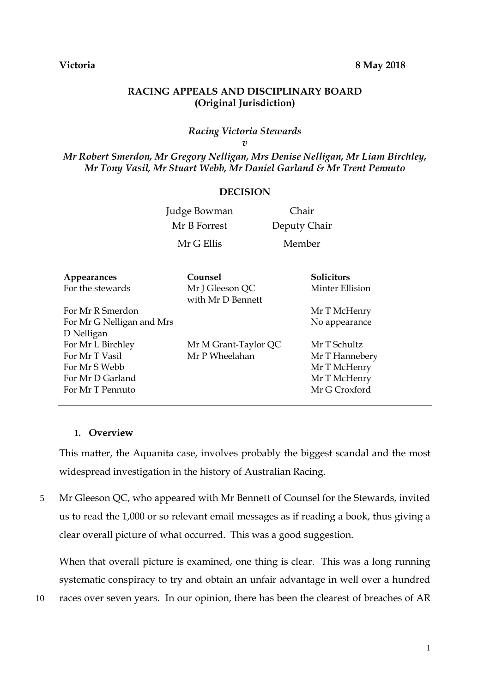### **Victoria 8 May 2018**

# **RACING APPEALS AND DISCIPLINARY BOARD (Original Jurisdiction)**

# *Racing Victoria Stewards*

*v* 

*Mr Robert Smerdon, Mr Gregory Nelligan, Mrs Denise Nelligan, Mr Liam Birchley, Mr Tony Vasil, Mr Stuart Webb, Mr Daniel Garland & Mr Trent Pennuto*

# **DECISION**

| Judge Bowman |  |
|--------------|--|
| Mr B Forrest |  |
| Mr G Ellis   |  |

Chair Deputy Chair Member

| Appearances<br>For the stewards                                                              | Counsel<br>Mr J Gleeson QC<br>with Mr D Bennett | <b>Solicitors</b><br>Minter Ellision                                            |
|----------------------------------------------------------------------------------------------|-------------------------------------------------|---------------------------------------------------------------------------------|
| For Mr R Smerdon<br>For Mr G Nelligan and Mrs<br>D Nelligan                                  |                                                 | Mr T McHenry<br>No appearance                                                   |
| For Mr L Birchley<br>For Mr T Vasil<br>For Mr S Webb<br>For Mr D Garland<br>For Mr T Pennuto | Mr M Grant-Taylor QC<br>Mr P Wheelahan          | Mr T Schultz<br>Mr T Hannebery<br>Mr T McHenry<br>Mr T McHenry<br>Mr G Croxford |

## **1. Overview**

This matter, the Aquanita case, involves probably the biggest scandal and the most widespread investigation in the history of Australian Racing.

5 Mr Gleeson QC, who appeared with Mr Bennett of Counsel for the Stewards, invited us to read the 1,000 or so relevant email messages as if reading a book, thus giving a clear overall picture of what occurred. This was a good suggestion.

When that overall picture is examined, one thing is clear. This was a long running systematic conspiracy to try and obtain an unfair advantage in well over a hundred

10 races over seven years. In our opinion, there has been the clearest of breaches of AR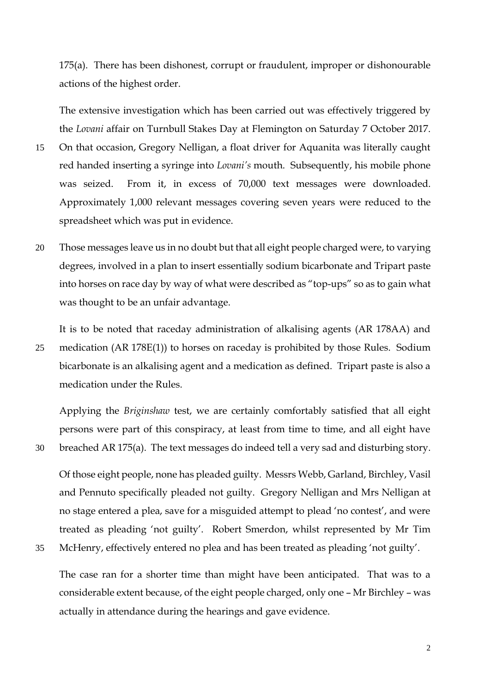175(a). There has been dishonest, corrupt or fraudulent, improper or dishonourable actions of the highest order.

The extensive investigation which has been carried out was effectively triggered by the *Lovani* affair on Turnbull Stakes Day at Flemington on Saturday 7 October 2017. 15 On that occasion, Gregory Nelligan, a float driver for Aquanita was literally caught red handed inserting a syringe into *Lovani's* mouth. Subsequently, his mobile phone was seized. From it, in excess of 70,000 text messages were downloaded. Approximately 1,000 relevant messages covering seven years were reduced to the spreadsheet which was put in evidence.

20 Those messages leave us in no doubt but that all eight people charged were, to varying degrees, involved in a plan to insert essentially sodium bicarbonate and Tripart paste into horses on race day by way of what were described as "top-ups" so as to gain what was thought to be an unfair advantage.

It is to be noted that raceday administration of alkalising agents (AR 178AA) and 25 medication (AR 178E(1)) to horses on raceday is prohibited by those Rules. Sodium bicarbonate is an alkalising agent and a medication as defined. Tripart paste is also a medication under the Rules.

Applying the *Briginshaw* test, we are certainly comfortably satisfied that all eight persons were part of this conspiracy, at least from time to time, and all eight have 30 breached AR 175(a). The text messages do indeed tell a very sad and disturbing story.

Of those eight people, none has pleaded guilty. Messrs Webb, Garland, Birchley, Vasil and Pennuto specifically pleaded not guilty. Gregory Nelligan and Mrs Nelligan at no stage entered a plea, save for a misguided attempt to plead 'no contest', and were treated as pleading 'not guilty'. Robert Smerdon, whilst represented by Mr Tim 35 McHenry, effectively entered no plea and has been treated as pleading 'not guilty'.

The case ran for a shorter time than might have been anticipated. That was to a considerable extent because, of the eight people charged, only one – Mr Birchley – was actually in attendance during the hearings and gave evidence.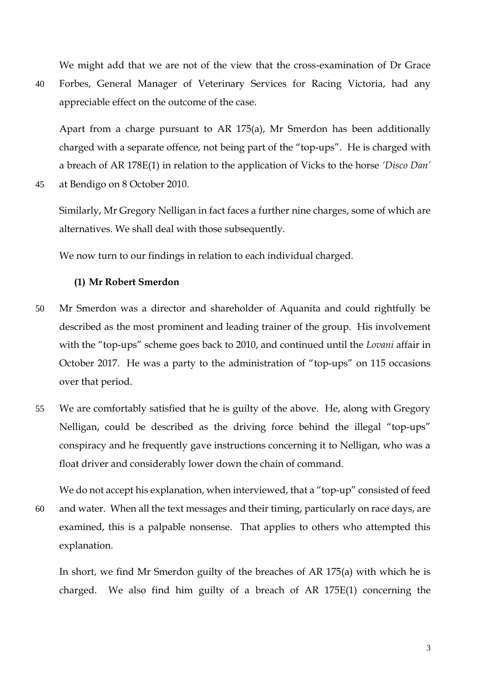We might add that we are not of the view that the cross-examination of Dr Grace 40 Forbes, General Manager of Veterinary Services for Racing Victoria, had any

Apart from a charge pursuant to AR 175(a), Mr Smerdon has been additionally charged with a separate offence, not being part of the "top-ups". He is charged with a breach of AR 178E(1) in relation to the application of Vicks to the horse *'Disco Dan'*

45 at Bendigo on 8 October 2010.

Similarly, Mr Gregory Nelligan in fact faces a further nine charges, some of which are alternatives. We shall deal with those subsequently.

We now turn to our findings in relation to each individual charged.

# **(1) Mr Robert Smerdon**

appreciable effect on the outcome of the case.

- 50 Mr Smerdon was a director and shareholder of Aquanita and could rightfully be described as the most prominent and leading trainer of the group. His involvement with the "top-ups" scheme goes back to 2010, and continued until the *Lovani* affair in October 2017. He was a party to the administration of "top-ups" on 115 occasions over that period.
- 55 We are comfortably satisfied that he is guilty of the above. He, along with Gregory Nelligan, could be described as the driving force behind the illegal "top-ups" conspiracy and he frequently gave instructions concerning it to Nelligan, who was a float driver and considerably lower down the chain of command.

We do not accept his explanation, when interviewed, that a "top-up" consisted of feed 60 and water. When all the text messages and their timing, particularly on race days, are examined, this is a palpable nonsense. That applies to others who attempted this explanation.

In short, we find Mr Smerdon guilty of the breaches of AR 175(a) with which he is charged. We also find him guilty of a breach of AR 175E(1) concerning the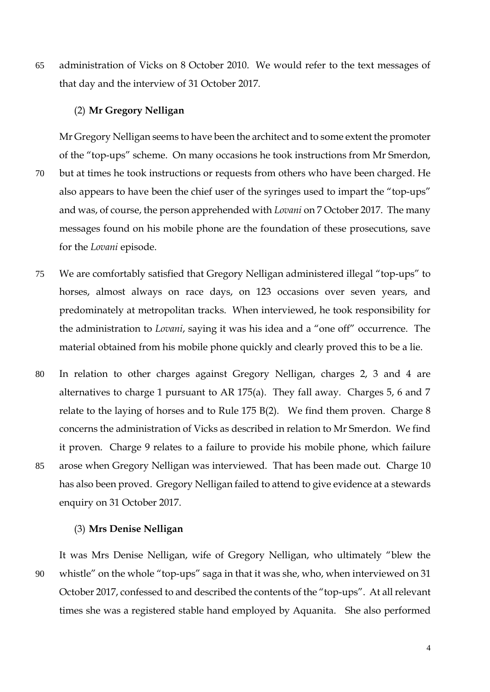65 administration of Vicks on 8 October 2010. We would refer to the text messages of that day and the interview of 31 October 2017.

### (2) **Mr Gregory Nelligan**

Mr Gregory Nelligan seems to have been the architect and to some extent the promoter of the "top-ups" scheme. On many occasions he took instructions from Mr Smerdon, 70 but at times he took instructions or requests from others who have been charged. He also appears to have been the chief user of the syringes used to impart the "top-ups" and was, of course, the person apprehended with *Lovani* on 7 October 2017. The many messages found on his mobile phone are the foundation of these prosecutions, save for the *Lovani* episode.

- 75 We are comfortably satisfied that Gregory Nelligan administered illegal "top-ups" to horses, almost always on race days, on 123 occasions over seven years, and predominately at metropolitan tracks. When interviewed, he took responsibility for the administration to *Lovani*, saying it was his idea and a "one off" occurrence. The material obtained from his mobile phone quickly and clearly proved this to be a lie.
- 80 In relation to other charges against Gregory Nelligan, charges 2, 3 and 4 are alternatives to charge 1 pursuant to AR 175(a). They fall away. Charges 5, 6 and 7 relate to the laying of horses and to Rule 175 B(2). We find them proven. Charge 8 concerns the administration of Vicks as described in relation to Mr Smerdon. We find it proven. Charge 9 relates to a failure to provide his mobile phone, which failure 85 arose when Gregory Nelligan was interviewed. That has been made out. Charge 10 has also been proved. Gregory Nelligan failed to attend to give evidence at a stewards enquiry on 31 October 2017.

#### (3) **Mrs Denise Nelligan**

It was Mrs Denise Nelligan, wife of Gregory Nelligan, who ultimately "blew the 90 whistle" on the whole "top-ups" saga in that it was she, who, when interviewed on 31 October 2017, confessed to and described the contents of the "top-ups". At all relevant times she was a registered stable hand employed by Aquanita. She also performed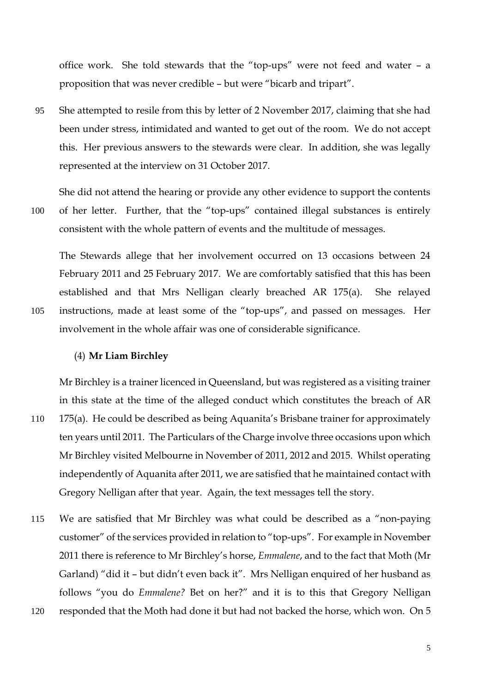office work. She told stewards that the "top-ups" were not feed and water – a proposition that was never credible – but were "bicarb and tripart".

95 She attempted to resile from this by letter of 2 November 2017, claiming that she had been under stress, intimidated and wanted to get out of the room. We do not accept this. Her previous answers to the stewards were clear. In addition, she was legally represented at the interview on 31 October 2017.

She did not attend the hearing or provide any other evidence to support the contents 100 of her letter. Further, that the "top-ups" contained illegal substances is entirely consistent with the whole pattern of events and the multitude of messages.

The Stewards allege that her involvement occurred on 13 occasions between 24 February 2011 and 25 February 2017. We are comfortably satisfied that this has been established and that Mrs Nelligan clearly breached AR 175(a). She relayed 105 instructions, made at least some of the "top-ups", and passed on messages. Her involvement in the whole affair was one of considerable significance.

# (4) **Mr Liam Birchley**

Mr Birchley is a trainer licenced in Queensland, but was registered as a visiting trainer in this state at the time of the alleged conduct which constitutes the breach of AR

- 110 175(a). He could be described as being Aquanita's Brisbane trainer for approximately ten years until 2011. The Particulars of the Charge involve three occasions upon which Mr Birchley visited Melbourne in November of 2011, 2012 and 2015. Whilst operating independently of Aquanita after 2011, we are satisfied that he maintained contact with Gregory Nelligan after that year. Again, the text messages tell the story.
- 115 We are satisfied that Mr Birchley was what could be described as a "non-paying customer" of the services provided in relation to "top-ups". For example in November 2011 there is reference to Mr Birchley's horse, *Emmalene*, and to the fact that Moth (Mr Garland) "did it – but didn't even back it". Mrs Nelligan enquired of her husband as follows "you do *Emmalene?* Bet on her?" and it is to this that Gregory Nelligan
- 120 responded that the Moth had done it but had not backed the horse, which won. On 5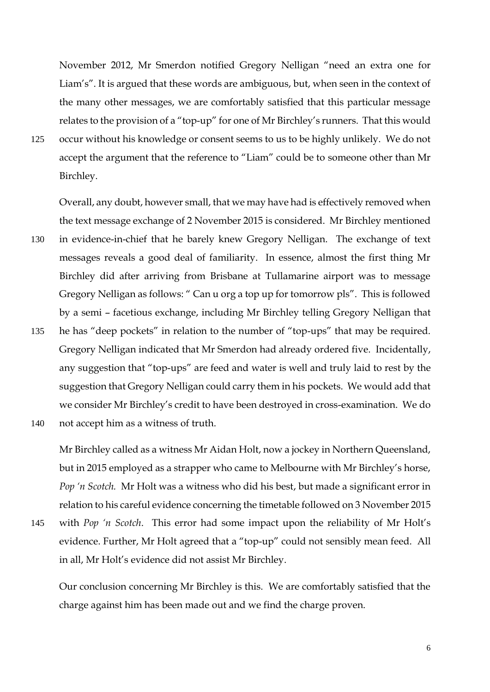November 2012, Mr Smerdon notified Gregory Nelligan "need an extra one for Liam's". It is argued that these words are ambiguous, but, when seen in the context of the many other messages, we are comfortably satisfied that this particular message relates to the provision of a "top-up" for one of Mr Birchley's runners. That this would 125 occur without his knowledge or consent seems to us to be highly unlikely. We do not accept the argument that the reference to "Liam" could be to someone other than Mr

Birchley.

Overall, any doubt, however small, that we may have had is effectively removed when the text message exchange of 2 November 2015 is considered. Mr Birchley mentioned 130 in evidence-in-chief that he barely knew Gregory Nelligan. The exchange of text messages reveals a good deal of familiarity. In essence, almost the first thing Mr Birchley did after arriving from Brisbane at Tullamarine airport was to message Gregory Nelligan as follows: " Can u org a top up for tomorrow pls". This is followed by a semi – facetious exchange, including Mr Birchley telling Gregory Nelligan that

135 he has "deep pockets" in relation to the number of "top-ups" that may be required. Gregory Nelligan indicated that Mr Smerdon had already ordered five. Incidentally, any suggestion that "top-ups" are feed and water is well and truly laid to rest by the suggestion that Gregory Nelligan could carry them in his pockets. We would add that we consider Mr Birchley's credit to have been destroyed in cross-examination. We do 140 not accept him as a witness of truth.

Mr Birchley called as a witness Mr Aidan Holt, now a jockey in Northern Queensland, but in 2015 employed as a strapper who came to Melbourne with Mr Birchley's horse, *Pop 'n Scotch.* Mr Holt was a witness who did his best, but made a significant error in relation to his careful evidence concerning the timetable followed on 3 November 2015

145 with *Pop 'n Scotch*. This error had some impact upon the reliability of Mr Holt's evidence. Further, Mr Holt agreed that a "top-up" could not sensibly mean feed. All in all, Mr Holt's evidence did not assist Mr Birchley.

Our conclusion concerning Mr Birchley is this. We are comfortably satisfied that the charge against him has been made out and we find the charge proven.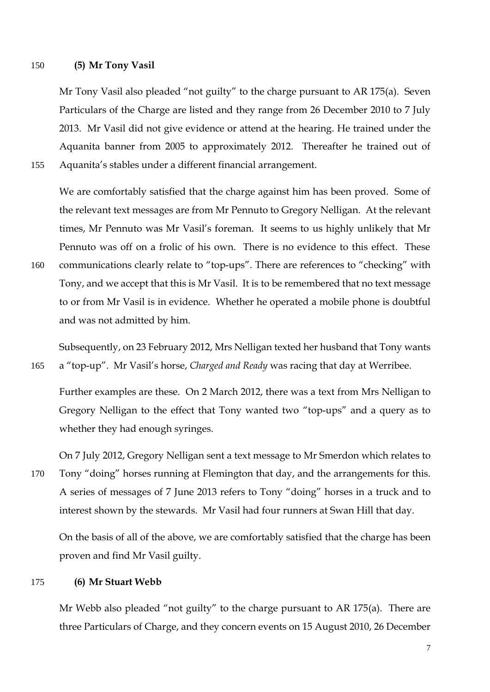#### 150 **(5) Mr Tony Vasil**

Mr Tony Vasil also pleaded "not guilty" to the charge pursuant to AR 175(a). Seven Particulars of the Charge are listed and they range from 26 December 2010 to 7 July 2013. Mr Vasil did not give evidence or attend at the hearing. He trained under the Aquanita banner from 2005 to approximately 2012. Thereafter he trained out of 155 Aquanita's stables under a different financial arrangement.

We are comfortably satisfied that the charge against him has been proved. Some of the relevant text messages are from Mr Pennuto to Gregory Nelligan. At the relevant times, Mr Pennuto was Mr Vasil's foreman. It seems to us highly unlikely that Mr Pennuto was off on a frolic of his own. There is no evidence to this effect. These 160 communications clearly relate to "top-ups". There are references to "checking" with

- Tony, and we accept that this is Mr Vasil. It is to be remembered that no text message to or from Mr Vasil is in evidence. Whether he operated a mobile phone is doubtful and was not admitted by him.
- Subsequently, on 23 February 2012, Mrs Nelligan texted her husband that Tony wants 165 a "top-up". Mr Vasil's horse, *Charged and Ready* was racing that day at Werribee.

Further examples are these. On 2 March 2012, there was a text from Mrs Nelligan to Gregory Nelligan to the effect that Tony wanted two "top-ups" and a query as to whether they had enough syringes.

On 7 July 2012, Gregory Nelligan sent a text message to Mr Smerdon which relates to 170 Tony "doing" horses running at Flemington that day, and the arrangements for this. A series of messages of 7 June 2013 refers to Tony "doing" horses in a truck and to interest shown by the stewards. Mr Vasil had four runners at Swan Hill that day.

On the basis of all of the above, we are comfortably satisfied that the charge has been proven and find Mr Vasil guilty.

# 175 **(6) Mr Stuart Webb**

Mr Webb also pleaded "not guilty" to the charge pursuant to AR 175(a). There are three Particulars of Charge, and they concern events on 15 August 2010, 26 December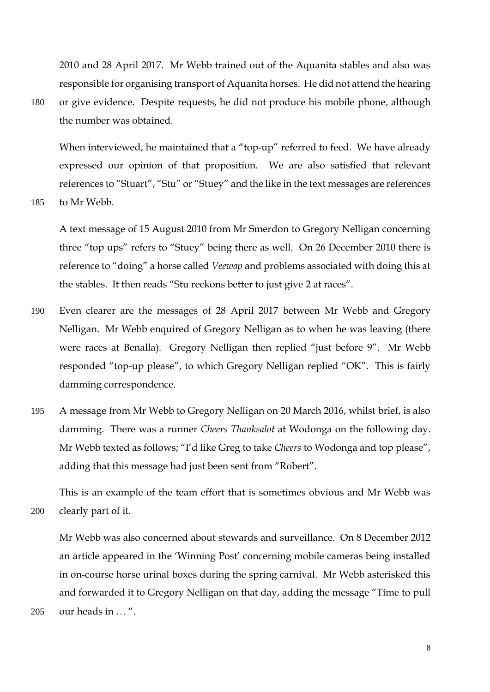2010 and 28 April 2017. Mr Webb trained out of the Aquanita stables and also was responsible for organising transport of Aquanita horses. He did not attend the hearing

180 or give evidence. Despite requests, he did not produce his mobile phone, although the number was obtained.

When interviewed, he maintained that a "top-up" referred to feed. We have already expressed our opinion of that proposition. We are also satisfied that relevant references to "Stuart", "Stu" or "Stuey" and the like in the text messages are references

185 to Mr Webb.

A text message of 15 August 2010 from Mr Smerdon to Gregory Nelligan concerning three "top ups" refers to "Stuey" being there as well. On 26 December 2010 there is reference to "doing" a horse called *Veewap* and problems associated with doing this at the stables. It then reads "Stu reckons better to just give 2 at races".

- 190 Even clearer are the messages of 28 April 2017 between Mr Webb and Gregory Nelligan. Mr Webb enquired of Gregory Nelligan as to when he was leaving (there were races at Benalla). Gregory Nelligan then replied "just before 9". Mr Webb responded "top-up please", to which Gregory Nelligan replied "OK". This is fairly damming correspondence.
- 195 A message from Mr Webb to Gregory Nelligan on 20 March 2016, whilst brief, is also damming. There was a runner *Cheers Thanksalot* at Wodonga on the following day. Mr Webb texted as follows; "I'd like Greg to take *Cheers* to Wodonga and top please", adding that this message had just been sent from "Robert".

This is an example of the team effort that is sometimes obvious and Mr Webb was 200 clearly part of it.

Mr Webb was also concerned about stewards and surveillance. On 8 December 2012 an article appeared in the 'Winning Post' concerning mobile cameras being installed in on-course horse urinal boxes during the spring carnival. Mr Webb asterisked this and forwarded it to Gregory Nelligan on that day, adding the message "Time to pull 205 our heads in … ".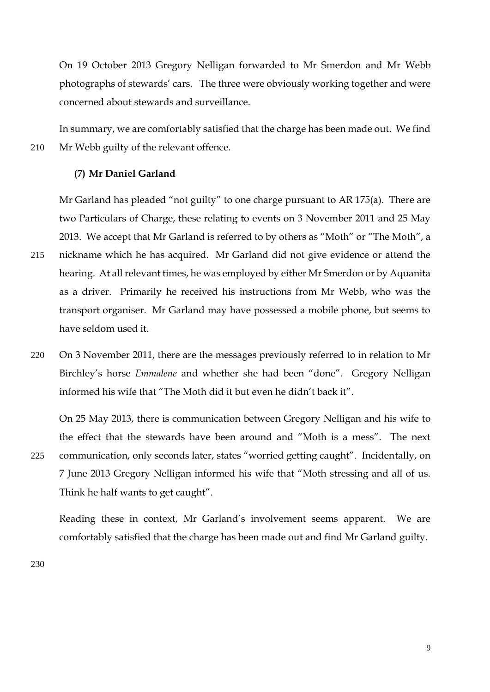On 19 October 2013 Gregory Nelligan forwarded to Mr Smerdon and Mr Webb photographs of stewards' cars. The three were obviously working together and were concerned about stewards and surveillance.

In summary, we are comfortably satisfied that the charge has been made out. We find 210 Mr Webb guilty of the relevant offence.

# **(7) Mr Daniel Garland**

Mr Garland has pleaded "not guilty" to one charge pursuant to AR 175(a). There are two Particulars of Charge, these relating to events on 3 November 2011 and 25 May 2013. We accept that Mr Garland is referred to by others as "Moth" or "The Moth", a

- 215 nickname which he has acquired. Mr Garland did not give evidence or attend the hearing. At all relevant times, he was employed by either Mr Smerdon or by Aquanita as a driver. Primarily he received his instructions from Mr Webb, who was the transport organiser. Mr Garland may have possessed a mobile phone, but seems to have seldom used it.
- 220 On 3 November 2011, there are the messages previously referred to in relation to Mr Birchley's horse *Emmalene* and whether she had been "done". Gregory Nelligan informed his wife that "The Moth did it but even he didn't back it".

On 25 May 2013, there is communication between Gregory Nelligan and his wife to the effect that the stewards have been around and "Moth is a mess". The next 225 communication, only seconds later, states "worried getting caught". Incidentally, on 7 June 2013 Gregory Nelligan informed his wife that "Moth stressing and all of us. Think he half wants to get caught".

Reading these in context, Mr Garland's involvement seems apparent. We are comfortably satisfied that the charge has been made out and find Mr Garland guilty.

230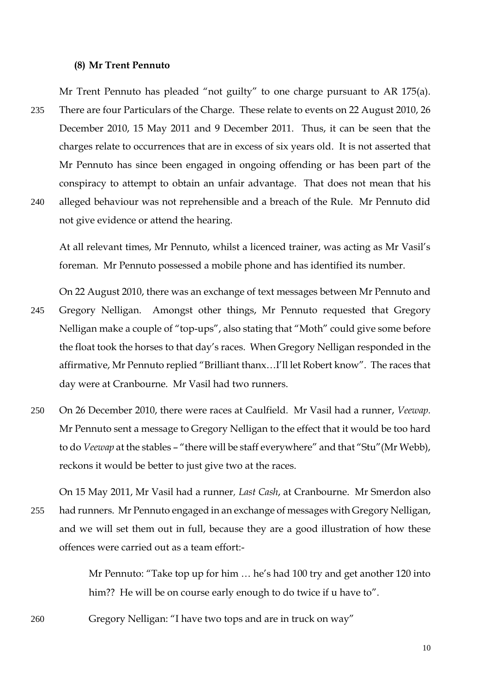#### **(8) Mr Trent Pennuto**

not give evidence or attend the hearing.

Mr Trent Pennuto has pleaded "not guilty" to one charge pursuant to AR 175(a). 235 There are four Particulars of the Charge. These relate to events on 22 August 2010, 26 December 2010, 15 May 2011 and 9 December 2011. Thus, it can be seen that the charges relate to occurrences that are in excess of six years old. It is not asserted that Mr Pennuto has since been engaged in ongoing offending or has been part of the conspiracy to attempt to obtain an unfair advantage. That does not mean that his 240 alleged behaviour was not reprehensible and a breach of the Rule. Mr Pennuto did

At all relevant times, Mr Pennuto, whilst a licenced trainer, was acting as Mr Vasil's foreman. Mr Pennuto possessed a mobile phone and has identified its number.

On 22 August 2010, there was an exchange of text messages between Mr Pennuto and 245 Gregory Nelligan. Amongst other things, Mr Pennuto requested that Gregory Nelligan make a couple of "top-ups", also stating that "Moth" could give some before the float took the horses to that day's races. When Gregory Nelligan responded in the affirmative, Mr Pennuto replied "Brilliant thanx…I'll let Robert know". The races that day were at Cranbourne. Mr Vasil had two runners.

250 On 26 December 2010, there were races at Caulfield. Mr Vasil had a runner, *Veewap.*  Mr Pennuto sent a message to Gregory Nelligan to the effect that it would be too hard to do *Veewap* at the stables – "there will be staff everywhere" and that "Stu"(Mr Webb), reckons it would be better to just give two at the races.

On 15 May 2011, Mr Vasil had a runner*, Last Cash*, at Cranbourne. Mr Smerdon also 255 had runners. Mr Pennuto engaged in an exchange of messages with Gregory Nelligan, and we will set them out in full, because they are a good illustration of how these offences were carried out as a team effort:-

> Mr Pennuto: "Take top up for him … he's had 100 try and get another 120 into him?? He will be on course early enough to do twice if u have to".

260 Gregory Nelligan: "I have two tops and are in truck on way"